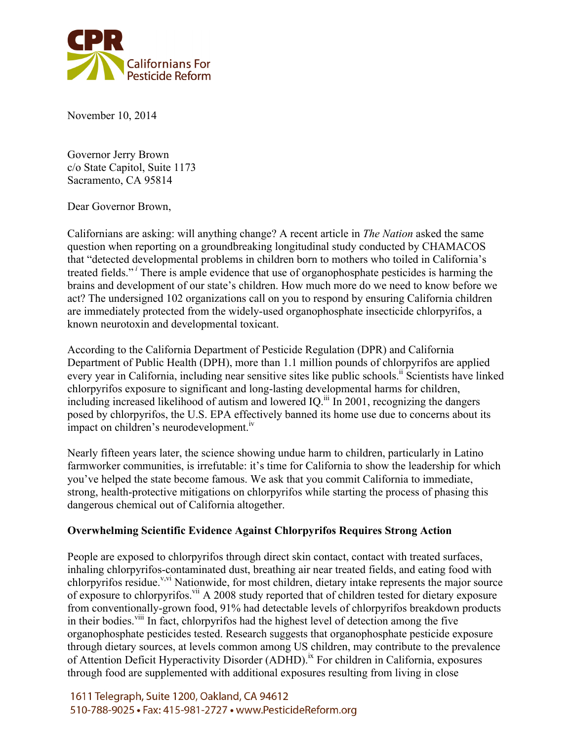

November 10, 2014

Governor Jerry Brown c/o State Capitol, Suite 1173 Sacramento, CA 95814

Dear Governor Brown,

Californians are asking: will anything change? A recent article in *The Nation* asked the same question when reporting on a groundbreaking longitudinal study conducted by CHAMACOS that "detected developmental problems in children born to mothers who toiled in California's treated fields." *<sup>i</sup>* There is ample evidence that use of organophosphate pesticides is harming the brains and development of our state's children. How much more do we need to know before we act? The undersigned 102 organizations call on you to respond by ensuring California children are immediately protected from the widely-used organophosphate insecticide chlorpyrifos, a known neurotoxin and developmental toxicant.

According to the California Department of Pesticide Regulation (DPR) and California Department of Public Health (DPH), more than 1.1 million pounds of chlorpyrifos are applied every year in California, including near sensitive sites like public schools.<sup>11</sup> Scientists have linked chlorpyrifos exposure to significant and long-lasting developmental harms for children, including increased likelihood of autism and lowered IQ.<sup>iii</sup> In 2001, recognizing the dangers posed by chlorpyrifos, the U.S. EPA effectively banned its home use due to concerns about its impact on children's neurodevelopment.<sup>iv</sup>

Nearly fifteen years later, the science showing undue harm to children, particularly in Latino farmworker communities, is irrefutable: it's time for California to show the leadership for which you've helped the state become famous. We ask that you commit California to immediate, strong, health-protective mitigations on chlorpyrifos while starting the process of phasing this dangerous chemical out of California altogether.

#### **Overwhelming Scientific Evidence Against Chlorpyrifos Requires Strong Action**

People are exposed to chlorpyrifos through direct skin contact, contact with treated surfaces, inhaling chlorpyrifos-contaminated dust, breathing air near treated fields, and eating food with chlorpyrifos residue.<sup>v,vi</sup> Nationwide, for most children, dietary intake represents the major source of exposure to chlorpyrifos.<sup>vii</sup> A 2008 study reported that of children tested for dietary exposure from conventionally-grown food, 91% had detectable levels of chlorpyrifos breakdown products in their bodies.<sup>viii</sup> In fact, chlorpyrifos had the highest level of detection among the five organophosphate pesticides tested. Research suggests that organophosphate pesticide exposure through dietary sources, at levels common among US children, may contribute to the prevalence of Attention Deficit Hyperactivity Disorder (ADHD).<sup>ix</sup> For children in California, exposures through food are supplemented with additional exposures resulting from living in close

1611 Telegraph, Suite 1200, Oakland, CA 94612 510-788-9025 • Fax: 415-981-2727 • www.PesticideReform.org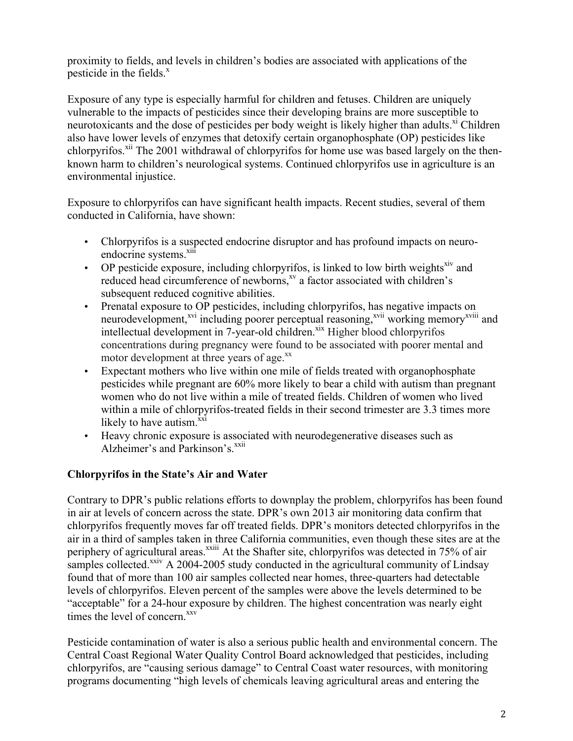proximity to fields, and levels in children's bodies are associated with applications of the pesticide in the fields. $x^x$ 

Exposure of any type is especially harmful for children and fetuses. Children are uniquely vulnerable to the impacts of pesticides since their developing brains are more susceptible to neurotoxicants and the dose of pesticides per body weight is likely higher than adults.<sup>xi</sup> Children also have lower levels of enzymes that detoxify certain organophosphate (OP) pesticides like chlorpyrifos.<sup>xii</sup> The 2001 withdrawal of chlorpyrifos for home use was based largely on the thenknown harm to children's neurological systems. Continued chlorpyrifos use in agriculture is an environmental injustice.

Exposure to chlorpyrifos can have significant health impacts. Recent studies, several of them conducted in California, have shown:

- Chlorpyrifos is a suspected endocrine disruptor and has profound impacts on neuroendocrine systems.<sup>xiii</sup>
- OP pesticide exposure, including chlorpyrifos, is linked to low birth weights<sup>xiv</sup> and reduced head circumference of newborns,<sup>xv</sup> a factor associated with children's subsequent reduced cognitive abilities.
- Prenatal exposure to OP pesticides, including chlorpyrifos, has negative impacts on neurodevelopment,<sup>xvi</sup> including poorer perceptual reasoning,<sup>xvii</sup> working memory<sup>xviii</sup> and intellectual development in 7-year-old children.<sup>xix</sup> Higher blood chlorpyrifos concentrations during pregnancy were found to be associated with poorer mental and motor development at three years of age.<sup>xx</sup>
- Expectant mothers who live within one mile of fields treated with organophosphate pesticides while pregnant are 60% more likely to bear a child with autism than pregnant women who do not live within a mile of treated fields. Children of women who lived within a mile of chlorpyrifos-treated fields in their second trimester are 3.3 times more likely to have autism. $\frac{xxi}{x}$
- Heavy chronic exposure is associated with neurodegenerative diseases such as Alzheimer's and Parkinson's.<sup>xxii</sup>

#### **Chlorpyrifos in the State's Air and Water**

Contrary to DPR's public relations efforts to downplay the problem, chlorpyrifos has been found in air at levels of concern across the state. DPR's own 2013 air monitoring data confirm that chlorpyrifos frequently moves far off treated fields. DPR's monitors detected chlorpyrifos in the air in a third of samples taken in three California communities, even though these sites are at the periphery of agricultural areas.<sup>xxiii</sup> At the Shafter site, chlorpyrifos was detected in 75% of air samples collected. $\frac{x}{x}$  A 2004-2005 study conducted in the agricultural community of Lindsay found that of more than 100 air samples collected near homes, three-quarters had detectable levels of chlorpyrifos. Eleven percent of the samples were above the levels determined to be "acceptable" for a 24-hour exposure by children. The highest concentration was nearly eight times the level of concern.<sup>xxv</sup>

Pesticide contamination of water is also a serious public health and environmental concern. The Central Coast Regional Water Quality Control Board acknowledged that pesticides, including chlorpyrifos, are "causing serious damage" to Central Coast water resources, with monitoring programs documenting "high levels of chemicals leaving agricultural areas and entering the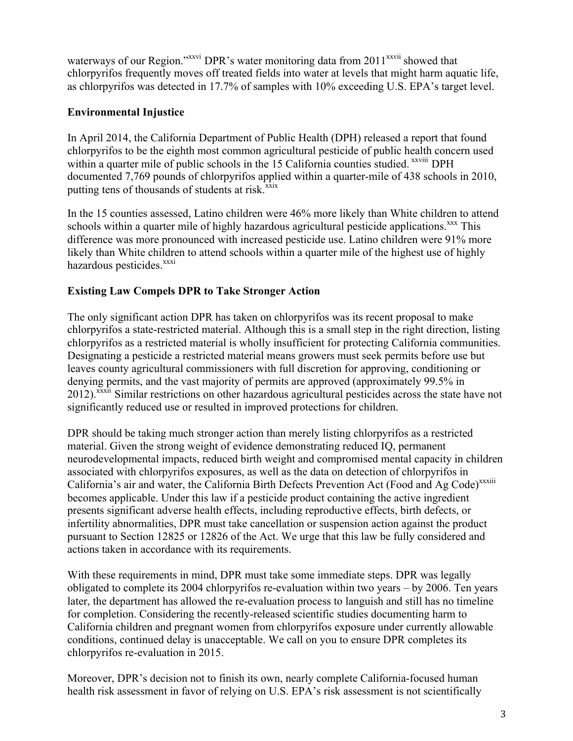waterways of our Region."<sup>xxvi</sup> DPR's water monitoring data from 2011<sup>xxvii</sup> showed that chlorpyrifos frequently moves off treated fields into water at levels that might harm aquatic life, as chlorpyrifos was detected in 17.7% of samples with 10% exceeding U.S. EPA's target level.

# **Environmental Injustice**

In April 2014, the California Department of Public Health (DPH) released a report that found chlorpyrifos to be the eighth most common agricultural pesticide of public health concern used within a quarter mile of public schools in the 15 California counties studied. <sup>xxviii</sup> DPH documented 7,769 pounds of chlorpyrifos applied within a quarter-mile of 438 schools in 2010, putting tens of thousands of students at risk.<sup>xxix</sup>

In the 15 counties assessed, Latino children were 46% more likely than White children to attend schools within a quarter mile of highly hazardous agricultural pesticide applications.<sup>xxx</sup> This difference was more pronounced with increased pesticide use. Latino children were 91% more likely than White children to attend schools within a quarter mile of the highest use of highly hazardous pesticides.<sup>xxxi</sup>

# **Existing Law Compels DPR to Take Stronger Action**

The only significant action DPR has taken on chlorpyrifos was its recent proposal to make chlorpyrifos a state-restricted material. Although this is a small step in the right direction, listing chlorpyrifos as a restricted material is wholly insufficient for protecting California communities. Designating a pesticide a restricted material means growers must seek permits before use but leaves county agricultural commissioners with full discretion for approving, conditioning or denying permits, and the vast majority of permits are approved (approximately 99.5% in 2012).<sup>xxxii</sup> Similar restrictions on other hazardous agricultural pesticides across the state have not significantly reduced use or resulted in improved protections for children.

DPR should be taking much stronger action than merely listing chlorpyrifos as a restricted material. Given the strong weight of evidence demonstrating reduced IQ, permanent neurodevelopmental impacts, reduced birth weight and compromised mental capacity in children associated with chlorpyrifos exposures, as well as the data on detection of chlorpyrifos in California's air and water, the California Birth Defects Prevention Act (Food and Ag Code)<sup>xxxiii</sup> becomes applicable. Under this law if a pesticide product containing the active ingredient presents significant adverse health effects, including reproductive effects, birth defects, or infertility abnormalities, DPR must take cancellation or suspension action against the product pursuant to Section 12825 or 12826 of the Act. We urge that this law be fully considered and actions taken in accordance with its requirements.

With these requirements in mind, DPR must take some immediate steps. DPR was legally obligated to complete its 2004 chlorpyrifos re-evaluation within two years – by 2006. Ten years later, the department has allowed the re-evaluation process to languish and still has no timeline for completion. Considering the recently-released scientific studies documenting harm to California children and pregnant women from chlorpyrifos exposure under currently allowable conditions, continued delay is unacceptable. We call on you to ensure DPR completes its chlorpyrifos re-evaluation in 2015.

Moreover, DPR's decision not to finish its own, nearly complete California-focused human health risk assessment in favor of relying on U.S. EPA's risk assessment is not scientifically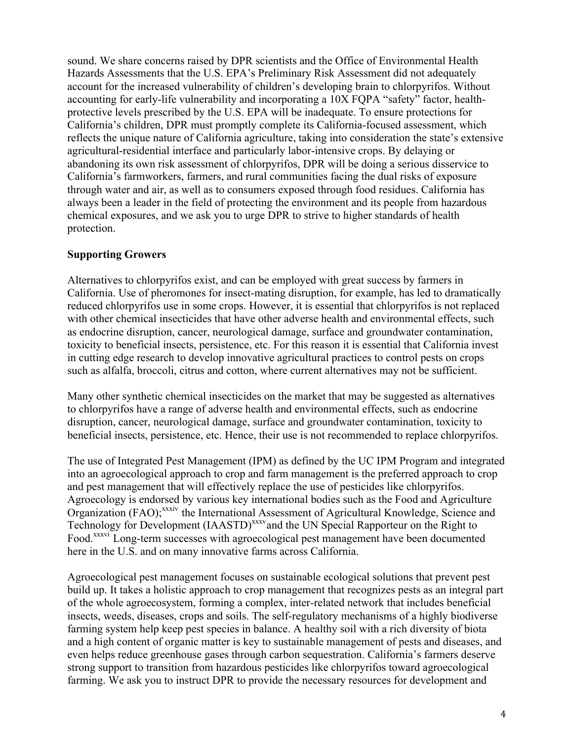sound. We share concerns raised by DPR scientists and the Office of Environmental Health Hazards Assessments that the U.S. EPA's Preliminary Risk Assessment did not adequately account for the increased vulnerability of children's developing brain to chlorpyrifos. Without accounting for early-life vulnerability and incorporating a 10X FQPA "safety" factor, healthprotective levels prescribed by the U.S. EPA will be inadequate. To ensure protections for California's children, DPR must promptly complete its California-focused assessment, which reflects the unique nature of California agriculture, taking into consideration the state's extensive agricultural-residential interface and particularly labor-intensive crops. By delaying or abandoning its own risk assessment of chlorpyrifos, DPR will be doing a serious disservice to California's farmworkers, farmers, and rural communities facing the dual risks of exposure through water and air, as well as to consumers exposed through food residues. California has always been a leader in the field of protecting the environment and its people from hazardous chemical exposures, and we ask you to urge DPR to strive to higher standards of health protection.

# **Supporting Growers**

Alternatives to chlorpyrifos exist, and can be employed with great success by farmers in California. Use of pheromones for insect-mating disruption, for example, has led to dramatically reduced chlorpyrifos use in some crops. However, it is essential that chlorpyrifos is not replaced with other chemical insecticides that have other adverse health and environmental effects, such as endocrine disruption, cancer, neurological damage, surface and groundwater contamination, toxicity to beneficial insects, persistence, etc. For this reason it is essential that California invest in cutting edge research to develop innovative agricultural practices to control pests on crops such as alfalfa, broccoli, citrus and cotton, where current alternatives may not be sufficient.

Many other synthetic chemical insecticides on the market that may be suggested as alternatives to chlorpyrifos have a range of adverse health and environmental effects, such as endocrine disruption, cancer, neurological damage, surface and groundwater contamination, toxicity to beneficial insects, persistence, etc. Hence, their use is not recommended to replace chlorpyrifos.

The use of Integrated Pest Management (IPM) as defined by the UC IPM Program and integrated into an agroecological approach to crop and farm management is the preferred approach to crop and pest management that will effectively replace the use of pesticides like chlorpyrifos. Agroecology is endorsed by various key international bodies such as the Food and Agriculture Organization (FAO);<sup>xxxiv</sup> the International Assessment of Agricultural Knowledge, Science and Technology for Development (IAASTD)<sup>xxxv</sup>and the UN Special Rapporteur on the Right to Food.<sup>xxxvi</sup> Long-term successes with agroecological pest management have been documented here in the U.S. and on many innovative farms across California.

Agroecological pest management focuses on sustainable ecological solutions that prevent pest build up. It takes a holistic approach to crop management that recognizes pests as an integral part of the whole agroecosystem, forming a complex, inter-related network that includes beneficial insects, weeds, diseases, crops and soils. The self-regulatory mechanisms of a highly biodiverse farming system help keep pest species in balance. A healthy soil with a rich diversity of biota and a high content of organic matter is key to sustainable management of pests and diseases, and even helps reduce greenhouse gases through carbon sequestration. California's farmers deserve strong support to transition from hazardous pesticides like chlorpyrifos toward agroecological farming. We ask you to instruct DPR to provide the necessary resources for development and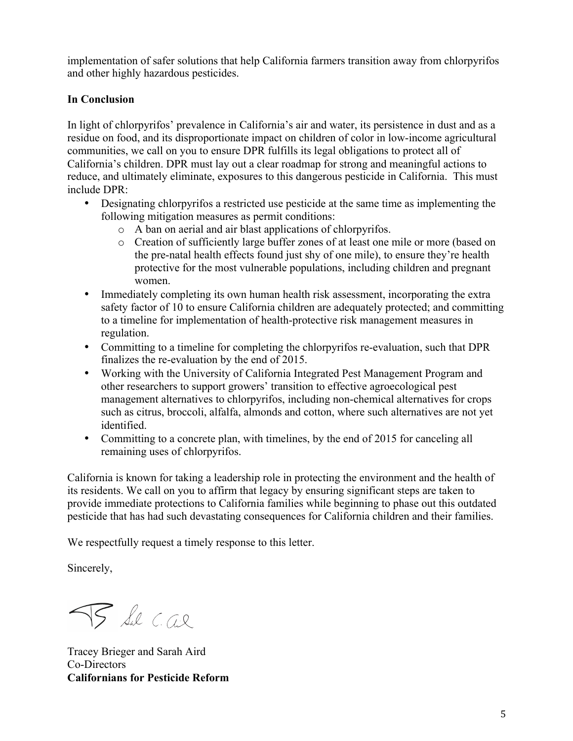implementation of safer solutions that help California farmers transition away from chlorpyrifos and other highly hazardous pesticides.

# **In Conclusion**

In light of chlorpyrifos' prevalence in California's air and water, its persistence in dust and as a residue on food, and its disproportionate impact on children of color in low-income agricultural communities, we call on you to ensure DPR fulfills its legal obligations to protect all of California's children. DPR must lay out a clear roadmap for strong and meaningful actions to reduce, and ultimately eliminate, exposures to this dangerous pesticide in California. This must include DPR:

- Designating chlorpyrifos a restricted use pesticide at the same time as implementing the following mitigation measures as permit conditions:
	- o A ban on aerial and air blast applications of chlorpyrifos.
	- o Creation of sufficiently large buffer zones of at least one mile or more (based on the pre-natal health effects found just shy of one mile), to ensure they're health protective for the most vulnerable populations, including children and pregnant women.
- Immediately completing its own human health risk assessment, incorporating the extra safety factor of 10 to ensure California children are adequately protected; and committing to a timeline for implementation of health-protective risk management measures in regulation.
- Committing to a timeline for completing the chlorpyrifos re-evaluation, such that DPR finalizes the re-evaluation by the end of 2015.
- Working with the University of California Integrated Pest Management Program and other researchers to support growers' transition to effective agroecological pest management alternatives to chlorpyrifos, including non-chemical alternatives for crops such as citrus, broccoli, alfalfa, almonds and cotton, where such alternatives are not yet identified.
- Committing to a concrete plan, with timelines, by the end of 2015 for canceling all remaining uses of chlorpyrifos.

California is known for taking a leadership role in protecting the environment and the health of its residents. We call on you to affirm that legacy by ensuring significant steps are taken to provide immediate protections to California families while beginning to phase out this outdated pesticide that has had such devastating consequences for California children and their families.

We respectfully request a timely response to this letter.

Sincerely,

TS Sul C.a.l.

Tracey Brieger and Sarah Aird Co-Directors **Californians for Pesticide Reform**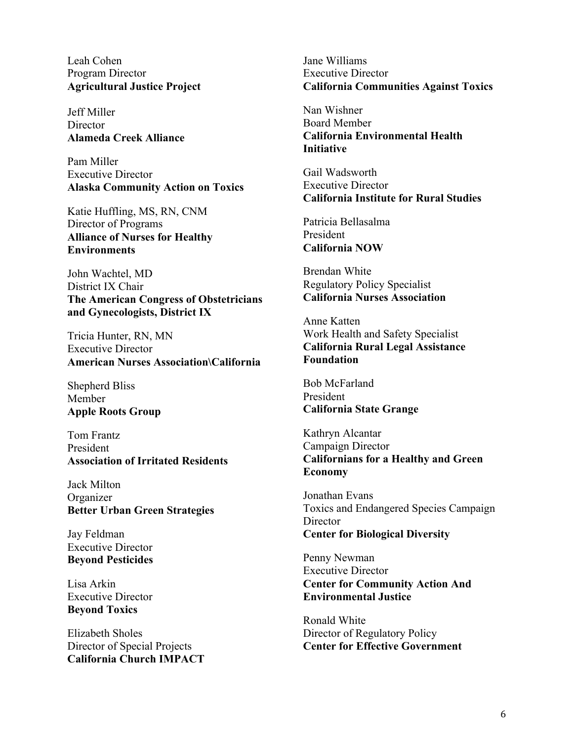Leah Cohen Program Director **Agricultural Justice Project**

Jeff Miller **Director Alameda Creek Alliance**

Pam Miller Executive Director **Alaska Community Action on Toxics**

Katie Huffling, MS, RN, CNM Director of Programs **Alliance of Nurses for Healthy Environments**

John Wachtel, MD District IX Chair **The American Congress of Obstetricians and Gynecologists, District IX**

Tricia Hunter, RN, MN Executive Director **American Nurses Association\California**

Shepherd Bliss Member **Apple Roots Group**

Tom Frantz President **Association of Irritated Residents**

Jack Milton **Organizer Better Urban Green Strategies**

Jay Feldman Executive Director **Beyond Pesticides**

Lisa Arkin Executive Director **Beyond Toxics**

Elizabeth Sholes Director of Special Projects **California Church IMPACT** Jane Williams Executive Director **California Communities Against Toxics**

Nan Wishner Board Member **California Environmental Health Initiative**

Gail Wadsworth Executive Director **California Institute for Rural Studies**

Patricia Bellasalma President **California NOW**

Brendan White Regulatory Policy Specialist **California Nurses Association**

Anne Katten Work Health and Safety Specialist **California Rural Legal Assistance Foundation**

Bob McFarland President **California State Grange**

Kathryn Alcantar Campaign Director **Californians for a Healthy and Green Economy**

Jonathan Evans Toxics and Endangered Species Campaign **Director Center for Biological Diversity** 

Penny Newman Executive Director **Center for Community Action And Environmental Justice**

Ronald White Director of Regulatory Policy **Center for Effective Government**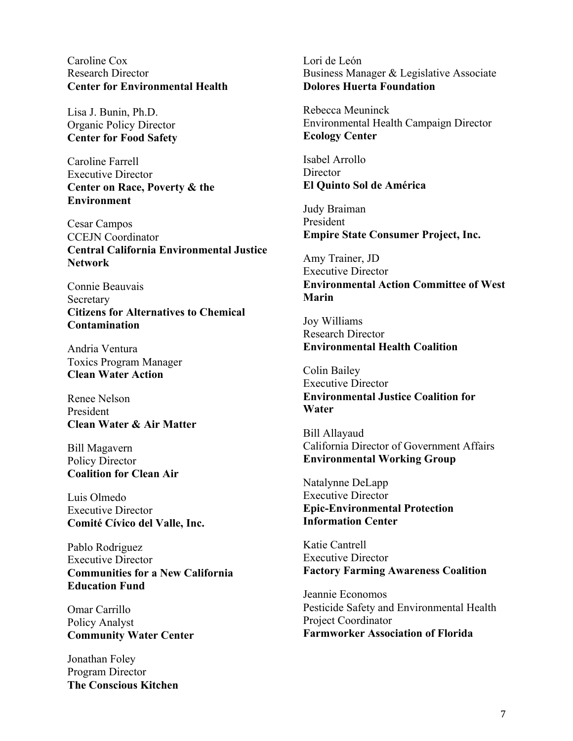Caroline Cox Research Director **Center for Environmental Health**

Lisa J. Bunin, Ph.D. Organic Policy Director **Center for Food Safety**

Caroline Farrell Executive Director **Center on Race, Poverty & the Environment**

Cesar Campos CCEJN Coordinator **Central California Environmental Justice Network**

Connie Beauvais Secretary **Citizens for Alternatives to Chemical Contamination**

Andria Ventura Toxics Program Manager **Clean Water Action**

Renee Nelson President **Clean Water & Air Matter**

Bill Magavern Policy Director **Coalition for Clean Air**

Luis Olmedo Executive Director **Comité Cívico del Valle, Inc.**

Pablo Rodriguez Executive Director **Communities for a New California Education Fund**

Omar Carrillo Policy Analyst **Community Water Center**

Jonathan Foley Program Director **The Conscious Kitchen** Lori de León Business Manager & Legislative Associate **Dolores Huerta Foundation**

Rebecca Meuninck Environmental Health Campaign Director **Ecology Center**

Isabel Arrollo **Director El Quinto Sol de América**

Judy Braiman President **Empire State Consumer Project, Inc.**

Amy Trainer, JD Executive Director **Environmental Action Committee of West Marin**

Joy Williams Research Director **Environmental Health Coalition**

Colin Bailey Executive Director **Environmental Justice Coalition for Water**

Bill Allayaud California Director of Government Affairs **Environmental Working Group**

Natalynne DeLapp Executive Director **Epic-Environmental Protection Information Center**

Katie Cantrell Executive Director **Factory Farming Awareness Coalition**

Jeannie Economos Pesticide Safety and Environmental Health Project Coordinator **Farmworker Association of Florida**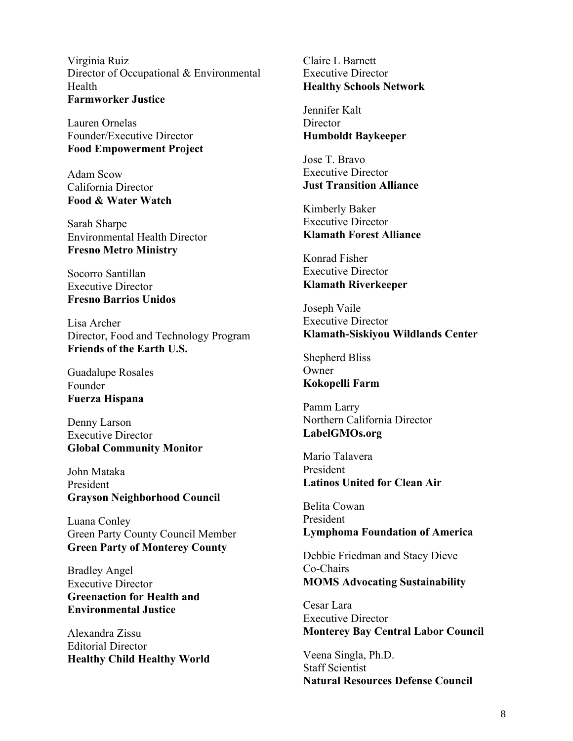Virginia Ruiz Director of Occupational & Environmental Health **Farmworker Justice**

Lauren Ornelas Founder/Executive Director **Food Empowerment Project**

Adam Scow California Director **Food & Water Watch**

Sarah Sharpe Environmental Health Director **Fresno Metro Ministry**

Socorro Santillan Executive Director **Fresno Barrios Unidos**

Lisa Archer Director, Food and Technology Program **Friends of the Earth U.S.**

Guadalupe Rosales Founder **Fuerza Hispana**

Denny Larson Executive Director **Global Community Monitor**

John Mataka President **Grayson Neighborhood Council**

Luana Conley Green Party County Council Member **Green Party of Monterey County**

Bradley Angel Executive Director **Greenaction for Health and Environmental Justice**

Alexandra Zissu Editorial Director **Healthy Child Healthy World** Claire L Barnett Executive Director **Healthy Schools Network**

Jennifer Kalt **Director Humboldt Baykeeper**

Jose T. Bravo Executive Director **Just Transition Alliance**

Kimberly Baker Executive Director **Klamath Forest Alliance**

Konrad Fisher Executive Director **Klamath Riverkeeper**

Joseph Vaile Executive Director **Klamath-Siskiyou Wildlands Center**

Shepherd Bliss **Owner Kokopelli Farm**

Pamm Larry Northern California Director **LabelGMOs.org**

Mario Talavera President **Latinos United for Clean Air**

Belita Cowan President **Lymphoma Foundation of America**

Debbie Friedman and Stacy Dieve Co-Chairs **MOMS Advocating Sustainability**

Cesar Lara Executive Director **Monterey Bay Central Labor Council**

Veena Singla, Ph.D. Staff Scientist **Natural Resources Defense Council**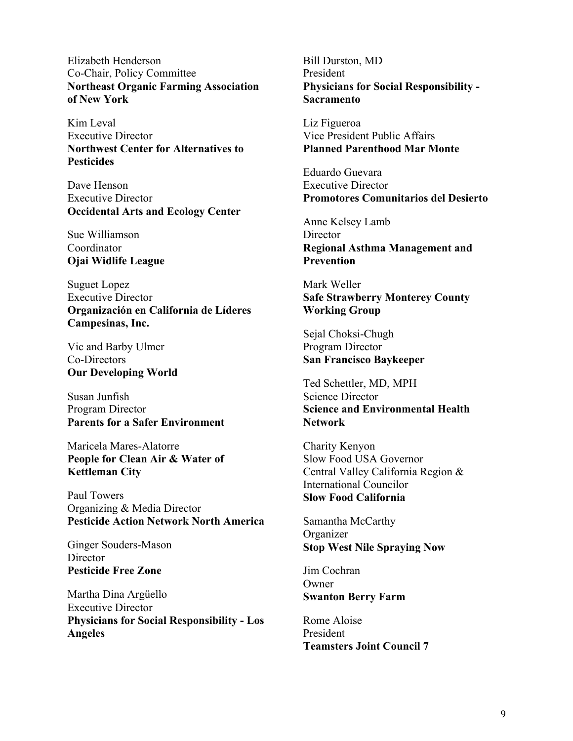Elizabeth Henderson Co-Chair, Policy Committee **Northeast Organic Farming Association of New York**

Kim Leval Executive Director **Northwest Center for Alternatives to Pesticides**

Dave Henson Executive Director **Occidental Arts and Ecology Center**

Sue Williamson Coordinator **Ojai Widlife League**

Suguet Lopez Executive Director **Organización en California de Líderes Campesinas, Inc.**

Vic and Barby Ulmer Co-Directors **Our Developing World**

Susan Junfish Program Director **Parents for a Safer Environment**

Maricela Mares-Alatorre **People for Clean Air & Water of Kettleman City**

Paul Towers Organizing & Media Director **Pesticide Action Network North America**

Ginger Souders-Mason **Director Pesticide Free Zone**

Martha Dina Argüello Executive Director **Physicians for Social Responsibility - Los Angeles**

Bill Durston, MD President **Physicians for Social Responsibility - Sacramento**

Liz Figueroa Vice President Public Affairs **Planned Parenthood Mar Monte**

Eduardo Guevara Executive Director **Promotores Comunitarios del Desierto**

Anne Kelsey Lamb **Director Regional Asthma Management and Prevention**

Mark Weller **Safe Strawberry Monterey County Working Group**

Sejal Choksi-Chugh Program Director **San Francisco Baykeeper**

Ted Schettler, MD, MPH Science Director **Science and Environmental Health Network**

Charity Kenyon Slow Food USA Governor Central Valley California Region & International Councilor **Slow Food California**

Samantha McCarthy **Organizer Stop West Nile Spraying Now**

Jim Cochran **Owner Swanton Berry Farm**

Rome Aloise President **Teamsters Joint Council 7**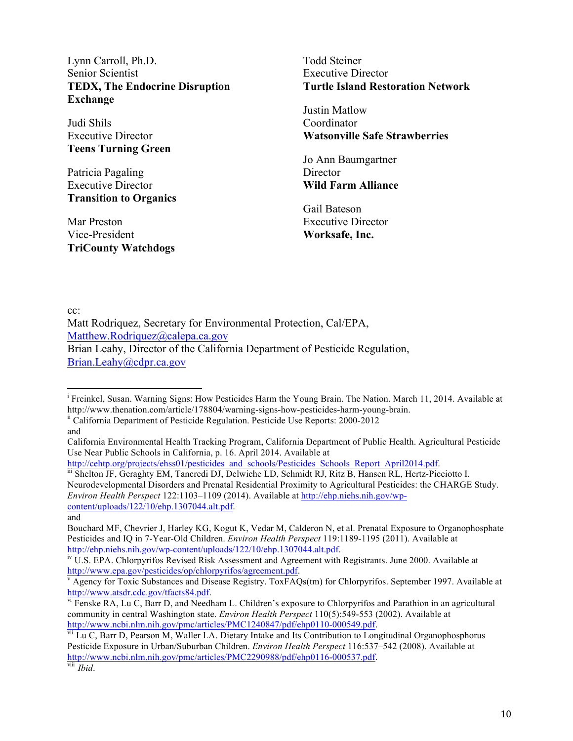Lynn Carroll, Ph.D. Senior Scientist **TEDX, The Endocrine Disruption Exchange**

Judi Shils Executive Director **Teens Turning Green**

Patricia Pagaling Executive Director **Transition to Organics**

Mar Preston Vice-President **TriCounty Watchdogs** Todd Steiner Executive Director **Turtle Island Restoration Network**

Justin Matlow Coordinator **Watsonville Safe Strawberries**

Jo Ann Baumgartner **Director Wild Farm Alliance**

Gail Bateson Executive Director **Worksafe, Inc.**

cc:

Matt Rodriquez, Secretary for Environmental Protection, Cal/EPA, Matthew.Rodriquez@calepa.ca.gov Brian Leahy, Director of the California Department of Pesticide Regulation, Brian.Leahy@cdpr.ca.gov

and

iii Shelton JF, Geraghty EM, Tancredi DJ, Delwiche LD, Schmidt RJ, Ritz B, Hansen RL, Hertz-Picciotto I. Neurodevelopmental Disorders and Prenatal Residential Proximity to Agricultural Pesticides: the CHARGE Study. *Environ Health Perspect* 122:1103–1109 (2014). Available at http://ehp.niehs.nih.gov/wpcontent/uploads/122/10/ehp.1307044.alt.pdf.

and

Bouchard MF, Chevrier J, Harley KG, Kogut K, Vedar M, Calderon N, et al. Prenatal Exposure to Organophosphate Pesticides and IQ in 7-Year-Old Children. *Environ Health Perspect* 119:1189-1195 (2011). Available at http://ehp.niehs.nih.gov/wp-content/uploads/122/10/ehp.1307044.alt.pdf.<br><sup>iv</sup> U.S. EPA. Chlorpyrifos Revised Risk Assessment and Agreement with Registrants. June 2000. Available at

i<br>Freinkel, Susan. Warning Signs: How Pesticides Harm the Young Brain. The Nation. March 11, 2014. Available at http://www.thenation.com/article/178804/warning-signs-how-pesticides-harm-young-brain. ii California Department of Pesticide Regulation. Pesticide Use Reports: 2000-2012

California Environmental Health Tracking Program, California Department of Public Health. Agricultural Pesticide Use Near Public Schools in California, p. 16. April 2014. Available at http://cehtp.org/projects/ehss01/pesticides and schools/Pesticides Schools Report April2014.pdf.

http://www.epa.gov/pesticides/op/chlorpyrifos/agreement.pdf.<br><sup>v</sup> Agency for Toxic Substances and Disease Registry. ToxFAQs(tm) for Chlorpyrifos. September 1997. Available at

http://www.atsdr.cdc.gov/tfacts84.pdf.<br>vi Fenske RA, Lu C, Barr D, and Needham L. Children's exposure to Chlorpyrifos and Parathion in an agricultural

community in central Washington state. *Environ Health Perspect* 110(5):549-553 (2002). Available at http://www.ncbi.nlm.nih.gov/pmc/articles/PMC1240847/pdf/ehp0110-000549.pdf.<br><sup>vii</sup> Lu C, Barr D, Pearson M, Waller LA. Dietary Intake and Its Contribution to Longitudinal Organophosphorus

Pesticide Exposure in Urban/Suburban Children. *Environ Health Perspect* 116:537–542 (2008). Available at http://www.ncbi.nlm.nih.gov/pmc/articles/PMC2290988/pdf/ehp0116-000537.pdf. viii *Ibid*.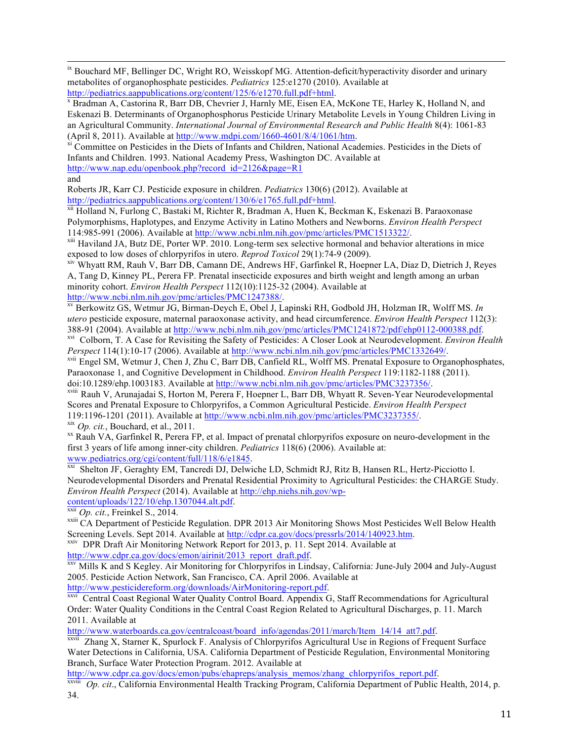<sup>ix</sup> Bouchard MF, Bellinger DC, Wright RO, Weisskopf MG. Attention-deficit/hyperactivity disorder and urinary metabolites of organophosphate pesticides. *Pediatrics* 125:e1270 (2010). Available at

http://pediatrics.aappublications.org/content/125/6/e1270.full.pdf+html.<br><sup>x</sup> Bradman A, Castorina R, Barr DB, Chevrier J, Harnly ME, Eisen EA, McKone TE, Harley K, Holland N, and Eskenazi B. Determinants of Organophosphorus Pesticide Urinary Metabolite Levels in Young Children Living in an Agricultural Community. *International Journal of Environmental Research and Public Health* 8(4): 1061-83 (April 8, 2011). Available at  $\frac{http://www.mdpi.com/1660-4601/8/4/1061/htm}{http://www.mdpi.com/1660-4601/8/4/1061/htm}$ .

Infants and Children. 1993. National Academy Press, Washington DC. Available at http://www.nap.edu/openbook.php?record\_id=2126&page=R1

and

Roberts JR, Karr CJ. Pesticide exposure in children. *Pediatrics* 130(6) (2012). Available at

http://pediatrics.aappublications.org/content/130/6/e1765.full.pdf+html.<br><sup>xii</sup> Holland N, Furlong C, Bastaki M, Richter R, Bradman A, Huen K, Beckman K, Eskenazi B. Paraoxonase Polymorphisms, Haplotypes, and Enzyme Activity in Latino Mothers and Newborns. *Environ Health Perspect*

<sup>xiii</sup> Haviland JA, Butz DE, Porter WP. 2010. Long-term sex selective hormonal and behavior alterations in mice<br>exposed to low doses of chlorpyrifos in utero. *Reprod Toxicol* 29(1):74-9 (2009).

<sup>xiv</sup> Whyatt RM, Rauh V, Barr DB, Camann DE, Andrews HF, Garfinkel R, Hoepner LA, Diaz D, Dietrich J, Reyes A, Tang D, Kinney PL, Perera FP. Prenatal insecticide exposures and birth weight and length among an urban minority cohort. *Environ Health Perspect* 112(10):1125-32 (2004). Available at

http://www.ncbi.nlm.nih.gov/pmc/articles/PMC1247388/.<br><sup>xv</sup> Berkowitz GS, Wetmur JG, Birman-Deych E, Obel J, Lapinski RH, Godbold JH, Holzman IR, Wolff MS. *In utero* pesticide exposure, maternal paraoxonase activity, and head circumference. *Environ Health Perspect* 112(3):<br>388-91 (2004). Available at http://www.ncbi.nlm.nih.gov/pmc/articles/PMC1241872/pdf/ehp0112-000388.pdf.

<sup>xvi</sup> Colborn, T. A Case for Revisiting the Safety of Pesticides: A Closer Look at Neurodevelopment. *Environ Health Perspect* 114(1):10-17 (2006). Available at http://www.ncbi.nlm.nih.gov/pmc/articles/PMC1332649/.

<sup>zvii</sup> Engel SM, Wetmur J, Chen J, Zhu C, Barr DB, Canfield RL, Wolff MS. Prenatal Exposure to Organophosphates, Paraoxonase 1, and Cognitive Development in Childhood. *Environ Health Perspect* 119:1182-1188 (2011).

<sup>xviii</sup> Rauh V, Arunajadai S, Horton M, Perera F, Hoepner L, Barr DB, Whyatt R. Seven-Year Neurodevelopmental Scores and Prenatal Exposure to Chlorpyrifos, a Common Agricultural Pesticide. *Environ Health Perspect* 119:1196-1201 (2011). Available at http://www.ncbi.nlm.nih.gov/pmc/articles/PMC3237355/.

 $\frac{xx}{x}$  *Op. cit.*, Bouchard, et al., 2011.<br>
<sup>xx</sup> Rauh VA, Garfinkel R, Perera FP, et al. Impact of prenatal chlorpyrifos exposure on neuro-development in the first 3 years of life among inner-city children. *Pediatrics* 118(6) (2006). Available at:

wi Shelton JF, Geraghty EM, Tancredi DJ, Delwiche LD, Schmidt RJ, Ritz B, Hansen RL, Hertz-Picciotto I. Neurodevelopmental Disorders and Prenatal Residential Proximity to Agricultural Pesticides: the CHARGE Study. *Environ Health Perspect* (2014). Available at http://ehp.niehs.nih.gov/wp-content/uploads/122/10/ehp.1307044.alt.pdf.

xxiii *Op. cit.*, Freinkel S., 2014.<br>xxiii CA Department of Pesticide Regulation. DPR 2013 Air Monitoring Shows Most Pesticides Well Below Health<br>Screening Levels. Sept 2014. Available at http://cdpr.ca.gov/docs/pressrls/2

xxiv DPR Draft Air Monitoring Network Report for 2013, p. 11. Sept 2014. Available at http://www.cdpr.ca.gov/docs/emon/airinit/2013 report draft.pdf.

xxv Mills K and S Kegley. Air Monitoring for Chlorpyrifos in Lindsay, California: June-July 2004 and July-August 2005. Pesticide Action Network, San Francisco, CA. April 2006. Available at

http://www.pesticidereform.org/downloads/AirMonitoring-report.pdf.<br><sup>xxvi</sup> Central Coast Regional Water Quality Control Board. Appendix G, Staff Recommendations for Agricultural Order: Water Quality Conditions in the Central Coast Region Related to Agricultural Discharges, p. 11. March 2011. Available at

http://www.waterboards.ca.gov/centralcoast/board\_info/agendas/2011/march/Item\_14/14\_att7.pdf.  $x^{xvii}$  Zhang X, Starner K, Spurlock F. Analysis of Chlorpyrifos Agricultural Use in Regions of Frequent Surface

Water Detections in California, USA. California Department of Pesticide Regulation, Environmental Monitoring Branch, Surface Water Protection Program. 2012. Available at

http://www.cdpr.ca.gov/docs/emon/pubs/ehapreps/analysis\_memos/zhang\_chlorpyrifos\_report.pdf. xxviii *Op. cit*., California Environmental Health Tracking Program, California Department of Public Health, 2014, p. 34.